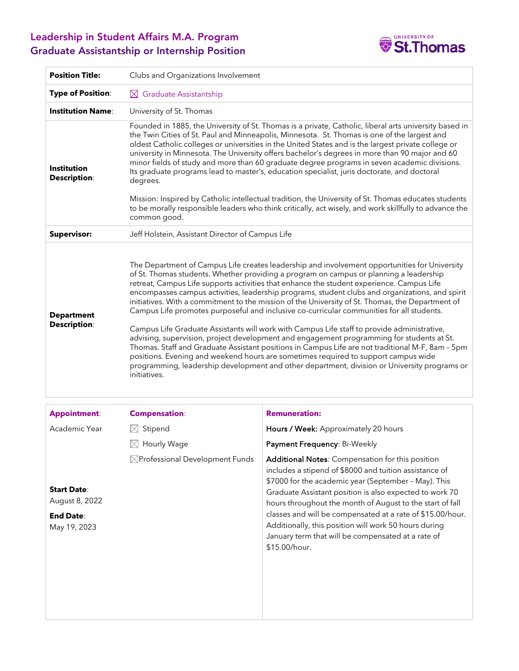## Leadership in Student Affairs M.A. Program Graduate Assistantship or Internship Position



| <b>Position Title:</b>                                                   | Clubs and Organizations Involvement                                                                                                                                                                                                                                                                                                                                                                                                                                                                                                                                                                                                                                                                                                                                                                                                                                                                                                                                                                                                                                                            |                                                                                                                                                                                                                                                                                                                                                                                                                                                                                          |  |  |  |  |
|--------------------------------------------------------------------------|------------------------------------------------------------------------------------------------------------------------------------------------------------------------------------------------------------------------------------------------------------------------------------------------------------------------------------------------------------------------------------------------------------------------------------------------------------------------------------------------------------------------------------------------------------------------------------------------------------------------------------------------------------------------------------------------------------------------------------------------------------------------------------------------------------------------------------------------------------------------------------------------------------------------------------------------------------------------------------------------------------------------------------------------------------------------------------------------|------------------------------------------------------------------------------------------------------------------------------------------------------------------------------------------------------------------------------------------------------------------------------------------------------------------------------------------------------------------------------------------------------------------------------------------------------------------------------------------|--|--|--|--|
| <b>Type of Position:</b>                                                 | $\boxtimes$ Graduate Assistantship                                                                                                                                                                                                                                                                                                                                                                                                                                                                                                                                                                                                                                                                                                                                                                                                                                                                                                                                                                                                                                                             |                                                                                                                                                                                                                                                                                                                                                                                                                                                                                          |  |  |  |  |
| <b>Institution Name:</b>                                                 | University of St. Thomas                                                                                                                                                                                                                                                                                                                                                                                                                                                                                                                                                                                                                                                                                                                                                                                                                                                                                                                                                                                                                                                                       |                                                                                                                                                                                                                                                                                                                                                                                                                                                                                          |  |  |  |  |
| <b>Institution</b><br><b>Description:</b>                                | Founded in 1885, the University of St. Thomas is a private, Catholic, liberal arts university based in<br>the Twin Cities of St. Paul and Minneapolis, Minnesota. St. Thomas is one of the largest and<br>oldest Catholic colleges or universities in the United States and is the largest private college or<br>university in Minnesota. The University offers bachelor's degrees in more than 90 major and 60<br>minor fields of study and more than 60 graduate degree programs in seven academic divisions.<br>Its graduate programs lead to master's, education specialist, juris doctorate, and doctoral<br>degrees.<br>Mission: Inspired by Catholic intellectual tradition, the University of St. Thomas educates students<br>to be morally responsible leaders who think critically, act wisely, and work skillfully to advance the<br>common good.                                                                                                                                                                                                                                   |                                                                                                                                                                                                                                                                                                                                                                                                                                                                                          |  |  |  |  |
| <b>Supervisor:</b>                                                       | Jeff Holstein, Assistant Director of Campus Life                                                                                                                                                                                                                                                                                                                                                                                                                                                                                                                                                                                                                                                                                                                                                                                                                                                                                                                                                                                                                                               |                                                                                                                                                                                                                                                                                                                                                                                                                                                                                          |  |  |  |  |
| <b>Department</b><br><b>Description:</b>                                 | The Department of Campus Life creates leadership and involvement opportunities for University<br>of St. Thomas students. Whether providing a program on campus or planning a leadership<br>retreat, Campus Life supports activities that enhance the student experience. Campus Life<br>encompasses campus activities, leadership programs, student clubs and organizations, and spirit<br>initiatives. With a commitment to the mission of the University of St. Thomas, the Department of<br>Campus Life promotes purposeful and inclusive co-curricular communities for all students.<br>Campus Life Graduate Assistants will work with Campus Life staff to provide administrative,<br>advising, supervision, project development and engagement programming for students at St.<br>Thomas. Staff and Graduate Assistant positions in Campus Life are not traditional M-F, 8am - 5pm<br>positions. Evening and weekend hours are sometimes required to support campus wide<br>programming, leadership development and other department, division or University programs or<br>initiatives. |                                                                                                                                                                                                                                                                                                                                                                                                                                                                                          |  |  |  |  |
| <b>Appointment:</b>                                                      | <b>Compensation:</b>                                                                                                                                                                                                                                                                                                                                                                                                                                                                                                                                                                                                                                                                                                                                                                                                                                                                                                                                                                                                                                                                           | <b>Remuneration:</b>                                                                                                                                                                                                                                                                                                                                                                                                                                                                     |  |  |  |  |
| Academic Year                                                            | Stipend<br>M                                                                                                                                                                                                                                                                                                                                                                                                                                                                                                                                                                                                                                                                                                                                                                                                                                                                                                                                                                                                                                                                                   | Hours / Week: Approximately 20 hours                                                                                                                                                                                                                                                                                                                                                                                                                                                     |  |  |  |  |
|                                                                          | $\boxtimes$<br>Hourly Wage                                                                                                                                                                                                                                                                                                                                                                                                                                                                                                                                                                                                                                                                                                                                                                                                                                                                                                                                                                                                                                                                     | Payment Frequency: Bi-Weekly                                                                                                                                                                                                                                                                                                                                                                                                                                                             |  |  |  |  |
| <b>Start Date:</b><br>August 8, 2022<br><b>End Date:</b><br>May 19, 2023 | $\boxtimes$ Professional Development Funds                                                                                                                                                                                                                                                                                                                                                                                                                                                                                                                                                                                                                                                                                                                                                                                                                                                                                                                                                                                                                                                     | Additional Notes: Compensation for this position<br>includes a stipend of \$8000 and tuition assistance of<br>\$7000 for the academic year (September - May). This<br>Graduate Assistant position is also expected to work 70<br>hours throughout the month of August to the start of fall<br>classes and will be compensated at a rate of \$15.00/hour.<br>Additionally, this position will work 50 hours during<br>January term that will be compensated at a rate of<br>\$15.00/hour. |  |  |  |  |